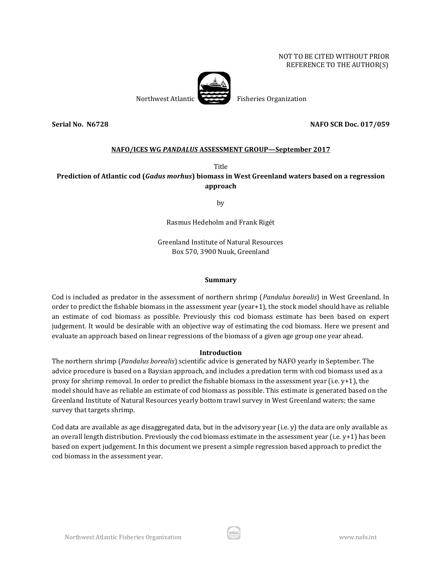### NOT TO BE CITED WITHOUT PRIOR REFERENCE TO THE AUTHOR(S)



**Serial No. N6728 NAFO SCR Doc. 017/059**

# **NAFO/ICES WG** *PANDALUS* **ASSESSMENT GROUP—September 2017**

Title

## **Prediction of Atlantic cod (***Gadus morhus***) biomass in West Greenland waters based on a regression approach**

by

Rasmus Hedeholm and Frank Rigét

Greenland Institute of Natural Resources Box 570, 3900 Nuuk, Greenland

#### **Summary**

Cod is included as predator in the assessment of northern shrimp (*Pandalus borealis*) in West Greenland. In order to predict the fishable biomass in the assessment year (year+1), the stock model should have as reliable an estimate of cod biomass as possible. Previously this cod biomass estimate has been based on expert judgement. It would be desirable with an objective way of estimating the cod biomass. Here we present and evaluate an approach based on linear regressions of the biomass of a given age group one year ahead.

#### **Introduction**

The northern shrimp (*Pandalus borealis*) scientific advice is generated by NAFO yearly in September. The advice procedure is based on a Baysian approach, and includes a predation term with cod biomass used as a proxy for shrimp removal. In order to predict the fishable biomass in the assessment year (i.e. y+1), the model should have as reliable an estimate of cod biomass as possible. This estimate is generated based on the Greenland Institute of Natural Resources yearly bottom trawl survey in West Greenland waters; the same survey that targets shrimp.

Cod data are available as age disaggregated data, but in the advisory year (i.e. y) the data are only available as an overall length distribution. Previously the cod biomass estimate in the assessment year (i.e. y+1) has been based on expert judgement. In this document we present a simple regression based approach to predict the cod biomass in the assessment year.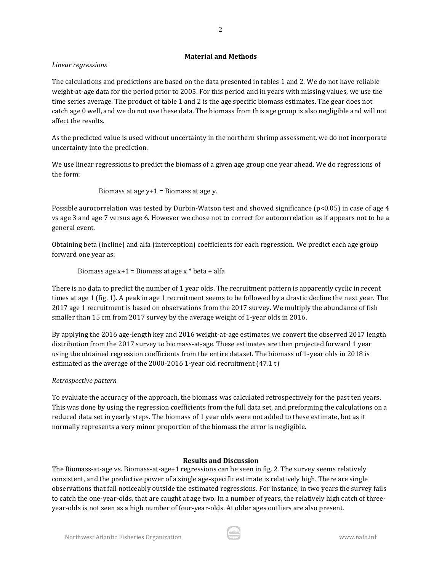## **Material and Methods**

## *Linear regressions*

The calculations and predictions are based on the data presented in tables 1 and 2. We do not have reliable weight-at-age data for the period prior to 2005. For this period and in years with missing values, we use the time series average. The product of table 1 and 2 is the age specific biomass estimates. The gear does not catch age 0 well, and we do not use these data. The biomass from this age group is also negligible and will not affect the results.

As the predicted value is used without uncertainty in the northern shrimp assessment, we do not incorporate uncertainty into the prediction.

We use linear regressions to predict the biomass of a given age group one year ahead. We do regressions of the form:

Biomass at age  $y+1$  = Biomass at age y.

Possible aurocorrelation was tested by Durbin-Watson test and showed significance ( $p<0.05$ ) in case of age 4 vs age 3 and age 7 versus age 6. However we chose not to correct for autocorrelation as it appears not to be a general event.

Obtaining beta (incline) and alfa (interception) coefficients for each regression. We predict each age group forward one year as:

Biomass age  $x+1 =$  Biomass at age  $x *$  beta + alfa

There is no data to predict the number of 1 year olds. The recruitment pattern is apparently cyclic in recent times at age 1 (fig. 1). A peak in age 1 recruitment seems to be followed by a drastic decline the next year. The 2017 age 1 recruitment is based on observations from the 2017 survey. We multiply the abundance of fish smaller than 15 cm from 2017 survey by the average weight of 1-year olds in 2016.

By applying the 2016 age-length key and 2016 weight-at-age estimates we convert the observed 2017 length distribution from the 2017 survey to biomass-at-age. These estimates are then projected forward 1 year using the obtained regression coefficients from the entire dataset. The biomass of 1-year olds in 2018 is estimated as the average of the 2000-2016 1-year old recruitment (47.1 t)

## *Retrospective pattern*

To evaluate the accuracy of the approach, the biomass was calculated retrospectively for the past ten years. This was done by using the regression coefficients from the full data set, and preforming the calculations on a reduced data set in yearly steps. The biomass of 1 year olds were not added to these estimate, but as it normally represents a very minor proportion of the biomass the error is negligible.

## **Results and Discussion**

The Biomass-at-age vs. Biomass-at-age+1 regressions can be seen in fig. 2. The survey seems relatively consistent, and the predictive power of a single age-specific estimate is relatively high. There are single observations that fall noticeably outside the estimated regressions. For instance, in two years the survey fails to catch the one-year-olds, that are caught at age two. In a number of years, the relatively high catch of threeyear-olds is not seen as a high number of four-year-olds. At older ages outliers are also present.

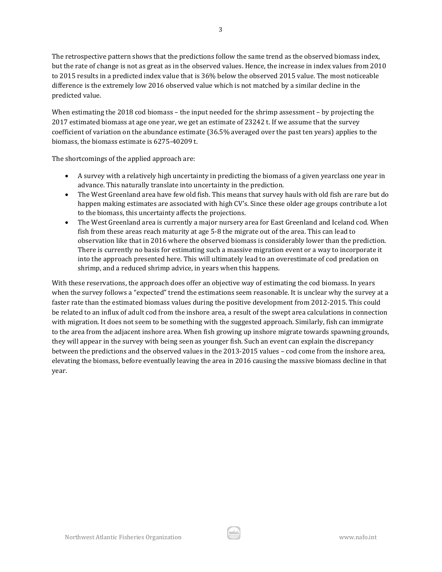The retrospective pattern shows that the predictions follow the same trend as the observed biomass index, but the rate of change is not as great as in the observed values. Hence, the increase in index values from 2010 to 2015 results in a predicted index value that is 36% below the observed 2015 value. The most noticeable difference is the extremely low 2016 observed value which is not matched by a similar decline in the predicted value.

When estimating the 2018 cod biomass – the input needed for the shrimp assessment – by projecting the 2017 estimated biomass at age one year, we get an estimate of 23242 t. If we assume that the survey coefficient of variation on the abundance estimate (36.5% averaged over the past ten years) applies to the biomass, the biomass estimate is 6275-40209 t.

The shortcomings of the applied approach are:

- A survey with a relatively high uncertainty in predicting the biomass of a given yearclass one year in advance. This naturally translate into uncertainty in the prediction.
- The West Greenland area have few old fish. This means that survey hauls with old fish are rare but do happen making estimates are associated with high CV's. Since these older age groups contribute a lot to the biomass, this uncertainty affects the projections.
- The West Greenland area is currently a major nursery area for East Greenland and Iceland cod. When fish from these areas reach maturity at age 5-8 the migrate out of the area. This can lead to observation like that in 2016 where the observed biomass is considerably lower than the prediction. There is currently no basis for estimating such a massive migration event or a way to incorporate it into the approach presented here. This will ultimately lead to an overestimate of cod predation on shrimp, and a reduced shrimp advice, in years when this happens.

With these reservations, the approach does offer an objective way of estimating the cod biomass. In years when the survey follows a "expected" trend the estimations seem reasonable. It is unclear why the survey at a faster rate than the estimated biomass values during the positive development from 2012-2015. This could be related to an influx of adult cod from the inshore area, a result of the swept area calculations in connection with migration. It does not seem to be something with the suggested approach. Similarly, fish can immigrate to the area from the adjacent inshore area. When fish growing up inshore migrate towards spawning grounds, they will appear in the survey with being seen as younger fish. Such an event can explain the discrepancy between the predictions and the observed values in the 2013-2015 values – cod come from the inshore area, elevating the biomass, before eventually leaving the area in 2016 causing the massive biomass decline in that year.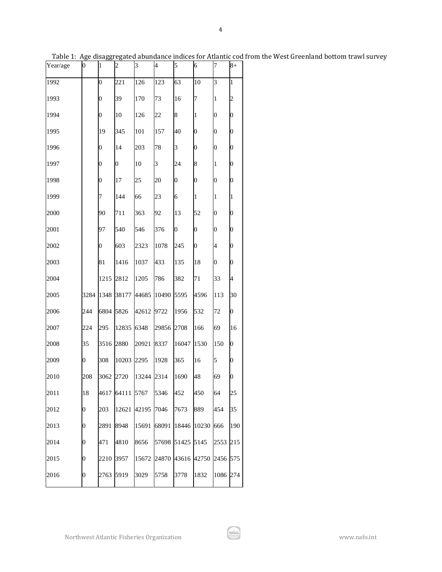| Year/age | $\boldsymbol{0}$ | $\mathbf{1}$     | $\overline{c}$   | 3     | $\overline{\mathcal{A}}$ | 5                | 6                | 7                | $8+$             |
|----------|------------------|------------------|------------------|-------|--------------------------|------------------|------------------|------------------|------------------|
| 1992     |                  | $\boldsymbol{0}$ | 221              | 126   | 123                      | 63               | 10               | 3                | $\mathbf{1}$     |
| 1993     |                  | $\overline{0}$   | 39               | 170   | 73                       | 16               | 7                | 1                | $\overline{c}$   |
| 1994     |                  | $\overline{0}$   | 10               | 126   | 22                       | 8                | 1                | $\boldsymbol{0}$ | $\overline{0}$   |
| 1995     |                  | 19               | 345              | 101   | 157                      | 40               | 0                | 0                | $\overline{0}$   |
| 1996     |                  | $\overline{0}$   | 14               | 203   | 78                       | 3                | $\boldsymbol{0}$ | $\overline{0}$   | $\overline{0}$   |
| 1997     |                  | $\boldsymbol{0}$ | $\boldsymbol{0}$ | 10    | 3                        | 24               | 8                | 1                | $\overline{0}$   |
| 1998     |                  | $\overline{0}$   | 17               | 25    | 20                       | $\boldsymbol{0}$ | $\overline{0}$   | $\overline{0}$   | $\overline{0}$   |
| 1999     |                  | 7                | 144              | 66    | 23                       | 6                | 1                | 1                | $\mathbf{1}$     |
| 2000     |                  | 90               | 711              | 363   | 92                       | 13               | 52               | $\boldsymbol{0}$ | $\mathbf{0}$     |
| 2001     |                  | 97               | 540              | 546   | 376                      | $\boldsymbol{0}$ | $\boldsymbol{0}$ | $\mathbf{0}$     | $\overline{0}$   |
| 2002     |                  | 0                | 603              | 2323  | 1078                     | 245              | $\overline{0}$   | 4                | $\overline{0}$   |
| 2003     |                  | 81               | 1416             | 1037  | 433                      | 135              | 18               | $\boldsymbol{0}$ | $\overline{0}$   |
| 2004     |                  | 1215             | 2812             | 1205  | 786                      | 382              | 71               | 33               | 4                |
| 2005     | 3284             | 1348             | 38177            | 44685 | 10490                    | 5595             | 4596             | 113              | 30               |
| 2006     | 244              | 6804             | 5826             | 42612 | 9722                     | 1956             | 532              | 72               | $\mathbf{0}$     |
| 2007     | 224              | 295              | 12835            | 6348  | 29856                    | 2708             | 166              | 69               | 16               |
| 2008     | 35               | 3516             | 2880             | 20921 | 8337                     | 16047            | 1530             | 150              | $\overline{0}$   |
| 2009     | 0                | 308              | 10203            | 2295  | 1928                     | 365              | 16               | 5                | $\mathbf{0}$     |
| 2010     | 208              | 3062             | 2720             | 13244 | 2314                     | 1690             | 48               | 69               | $\boldsymbol{0}$ |
| 2011     | 18               | 4617             | 64111 5767       |       | 5346                     | 452              | 450              | 64               | 25               |
| 2012     | $\boldsymbol{0}$ | 203              | 12621            | 42195 | 7046                     | 7673             | 889              | 454              | 35               |
| 2013     | $\boldsymbol{0}$ | 2891             | 8948             | 15691 | 68091                    | 18446            | 10230            | 666              | 190              |
| 2014     | $\boldsymbol{0}$ | 471              | 4810             | 8656  | 57698                    | 51425            | 5145             | 2553             | 215              |
| 2015     | $\boldsymbol{0}$ | 2210             | 3957             | 15672 | 24870                    | 43616            | 42750            | 2456             | 575              |
| 2016     | 0                | 2763             | 5919             | 3029  | 5758                     | 3778             | 1832             | 1086             | 274              |

Table 1: Age disaggregated abundance indices for Atlantic cod from the West Greenland bottom trawl survey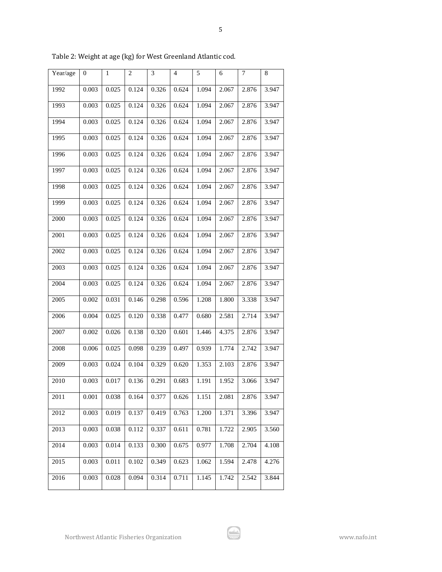| Year/age | 0     | 1     | 2     | 3     | $\overline{4}$ | 5     | 6     | $\overline{7}$ | 8     |
|----------|-------|-------|-------|-------|----------------|-------|-------|----------------|-------|
| 1992     | 0.003 | 0.025 | 0.124 | 0.326 | 0.624          | 1.094 | 2.067 | 2.876          | 3.947 |
| 1993     | 0.003 | 0.025 | 0.124 | 0.326 | 0.624          | 1.094 | 2.067 | 2.876          | 3.947 |
| 1994     | 0.003 | 0.025 | 0.124 | 0.326 | 0.624          | 1.094 | 2.067 | 2.876          | 3.947 |
| 1995     | 0.003 | 0.025 | 0.124 | 0.326 | 0.624          | 1.094 | 2.067 | 2.876          | 3.947 |
| 1996     | 0.003 | 0.025 | 0.124 | 0.326 | 0.624          | 1.094 | 2.067 | 2.876          | 3.947 |
| 1997     | 0.003 | 0.025 | 0.124 | 0.326 | 0.624          | 1.094 | 2.067 | 2.876          | 3.947 |
| 1998     | 0.003 | 0.025 | 0.124 | 0.326 | 0.624          | 1.094 | 2.067 | 2.876          | 3.947 |
| 1999     | 0.003 | 0.025 | 0.124 | 0.326 | 0.624          | 1.094 | 2.067 | 2.876          | 3.947 |
| 2000     | 0.003 | 0.025 | 0.124 | 0.326 | 0.624          | 1.094 | 2.067 | 2.876          | 3.947 |
| 2001     | 0.003 | 0.025 | 0.124 | 0.326 | 0.624          | 1.094 | 2.067 | 2.876          | 3.947 |
| 2002     | 0.003 | 0.025 | 0.124 | 0.326 | 0.624          | 1.094 | 2.067 | 2.876          | 3.947 |
| 2003     | 0.003 | 0.025 | 0.124 | 0.326 | 0.624          | 1.094 | 2.067 | 2.876          | 3.947 |
| 2004     | 0.003 | 0.025 | 0.124 | 0.326 | 0.624          | 1.094 | 2.067 | 2.876          | 3.947 |
| 2005     | 0.002 | 0.031 | 0.146 | 0.298 | 0.596          | 1.208 | 1.800 | 3.338          | 3.947 |
| 2006     | 0.004 | 0.025 | 0.120 | 0.338 | 0.477          | 0.680 | 2.581 | 2.714          | 3.947 |
| 2007     | 0.002 | 0.026 | 0.138 | 0.320 | 0.601          | 1.446 | 4.375 | 2.876          | 3.947 |
| 2008     | 0.006 | 0.025 | 0.098 | 0.239 | 0.497          | 0.939 | 1.774 | 2.742          | 3.947 |
| 2009     | 0.003 | 0.024 | 0.104 | 0.329 | 0.620          | 1.353 | 2.103 | 2.876          | 3.947 |
| 2010     | 0.003 | 0.017 | 0.136 | 0.291 | 0.683          | 1.191 | 1.952 | 3.066          | 3.947 |
| 2011     | 0.001 | 0.038 | 0.164 | 0.377 | 0.626          | 1.151 | 2.081 | 2.876          | 3.947 |
| 2012     | 0.003 | 0.019 | 0.137 | 0.419 | 0.763          | 1.200 | 1.371 | 3.396          | 3.947 |
| 2013     | 0.003 | 0.038 | 0.112 | 0.337 | 0.611          | 0.781 | 1.722 | 2.905          | 3.560 |
| 2014     | 0.003 | 0.014 | 0.133 | 0.300 | 0.675          | 0.977 | 1.708 | 2.704          | 4.108 |
| 2015     | 0.003 | 0.011 | 0.102 | 0.349 | 0.623          | 1.062 | 1.594 | 2.478          | 4.276 |
| 2016     | 0.003 | 0.028 | 0.094 | 0.314 | 0.711          | 1.145 | 1.742 | 2.542          | 3.844 |

Table 2: Weight at age (kg) for West Greenland Atlantic cod.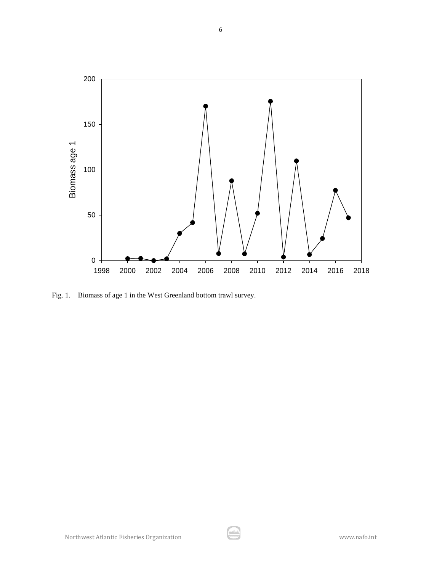

Fig. 1. Biomass of age 1 in the West Greenland bottom trawl survey.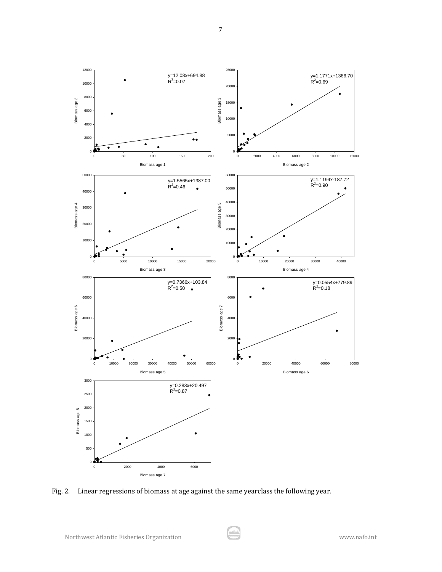

Fig. 2. Linear regressions of biomass at age against the same yearclass the following year.